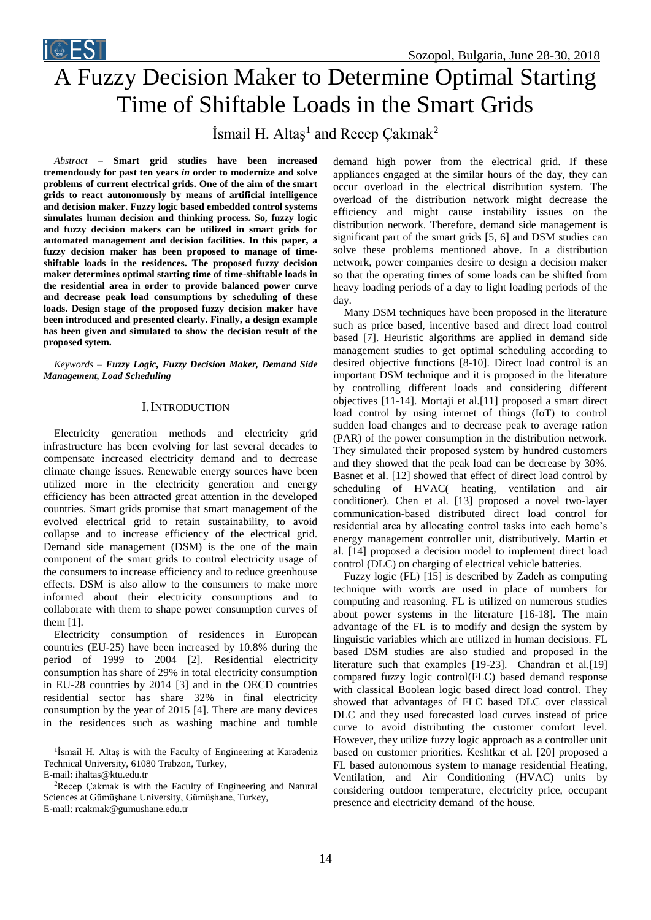

# A Fuzzy Decision Maker to Determine Optimal Starting Time of Shiftable Loads in the Smart Grids

İsmail H. Altaş<sup>1</sup> and Recep Çakmak<sup>2</sup>

*Abstract –* **Smart grid studies have been increased tremendously for past ten years** *in* **order to modernize and solve problems of current electrical grids. One of the aim of the smart grids to react autonomously by means of artificial intelligence and decision maker. Fuzzy logic based embedded control systems simulates human decision and thinking process. So, fuzzy logic and fuzzy decision makers can be utilized in smart grids for automated management and decision facilities. In this paper, a fuzzy decision maker has been proposed to manage of timeshiftable loads in the residences. The proposed fuzzy decision maker determines optimal starting time of time-shiftable loads in the residential area in order to provide balanced power curve and decrease peak load consumptions by scheduling of these loads. Design stage of the proposed fuzzy decision maker have been introduced and presented clearly. Finally, a design example has been given and simulated to show the decision result of the proposed sytem.**

*Keywords – Fuzzy Logic, Fuzzy Decision Maker, Demand Side Management, Load Scheduling*

# I.INTRODUCTION

Electricity generation methods and electricity grid infrastructure has been evolving for last several decades to compensate increased electricity demand and to decrease climate change issues. Renewable energy sources have been utilized more in the electricity generation and energy efficiency has been attracted great attention in the developed countries. Smart grids promise that smart management of the evolved electrical grid to retain sustainability, to avoid collapse and to increase efficiency of the electrical grid. Demand side management (DSM) is the one of the main component of the smart grids to control electricity usage of the consumers to increase efficiency and to reduce greenhouse effects. DSM is also allow to the consumers to make more informed about their electricity consumptions and to collaborate with them to shape power consumption curves of them [1].

Electricity consumption of residences in European countries (EU-25) have been increased by 10.8% during the period of 1999 to 2004 [2]. Residential electricity consumption has share of 29% in total electricity consumption in EU-28 countries by 2014 [3] and in the OECD countries residential sector has share 32% in final electricity consumption by the year of 2015 [4]. There are many devices in the residences such as washing machine and tumble

<sup>1</sup>İsmail H. Altaş is with the Faculty of Engineering at Karadeniz Technical University, 61080 Trabzon, Turkey,

E-mail: ihaltas@ktu.edu.tr

<sup>2</sup>Recep Çakmak is with the Faculty of Engineering and Natural Sciences at Gümüşhane University, Gümüşhane, Turkey, E-mail: rcakmak@gumushane.edu.tr

demand high power from the electrical grid. If these appliances engaged at the similar hours of the day, they can occur overload in the electrical distribution system. The overload of the distribution network might decrease the efficiency and might cause instability issues on the distribution network. Therefore, demand side management is significant part of the smart grids [5, 6] and DSM studies can solve these problems mentioned above. In a distribution network, power companies desire to design a decision maker so that the operating times of some loads can be shifted from heavy loading periods of a day to light loading periods of the day.

Many DSM techniques have been proposed in the literature such as price based, incentive based and direct load control based [7]. Heuristic algorithms are applied in demand side management studies to get optimal scheduling according to desired objective functions [8-10]. Direct load control is an important DSM technique and it is proposed in the literature by controlling different loads and considering different objectives [11-14]. Mortaji et al.[11] proposed a smart direct load control by using internet of things (IoT) to control sudden load changes and to decrease peak to average ration (PAR) of the power consumption in the distribution network. They simulated their proposed system by hundred customers and they showed that the peak load can be decrease by 30%. Basnet et al. [12] showed that effect of direct load control by scheduling of HVAC( heating, ventilation and air conditioner). Chen et al. [13] proposed a novel two-layer communication-based distributed direct load control for residential area by allocating control tasks into each home's energy management controller unit, distributively. Martin et al. [14] proposed a decision model to implement direct load control (DLC) on charging of electrical vehicle batteries.

Fuzzy logic (FL) [15] is described by Zadeh as computing technique with words are used in place of numbers for computing and reasoning. FL is utilized on numerous studies about power systems in the literature [16-18]. The main advantage of the FL is to modify and design the system by linguistic variables which are utilized in human decisions. FL based DSM studies are also studied and proposed in the literature such that examples [19-23]. Chandran et al. [19] compared fuzzy logic control(FLC) based demand response with classical Boolean logic based direct load control. They showed that advantages of FLC based DLC over classical DLC and they used forecasted load curves instead of price curve to avoid distributing the customer comfort level. However, they utilize fuzzy logic approach as a controller unit based on customer priorities. Keshtkar et al. [20] proposed a FL based autonomous system to manage residential Heating, Ventilation, and Air Conditioning (HVAC) units by considering outdoor temperature, electricity price, occupant presence and electricity demand of the house.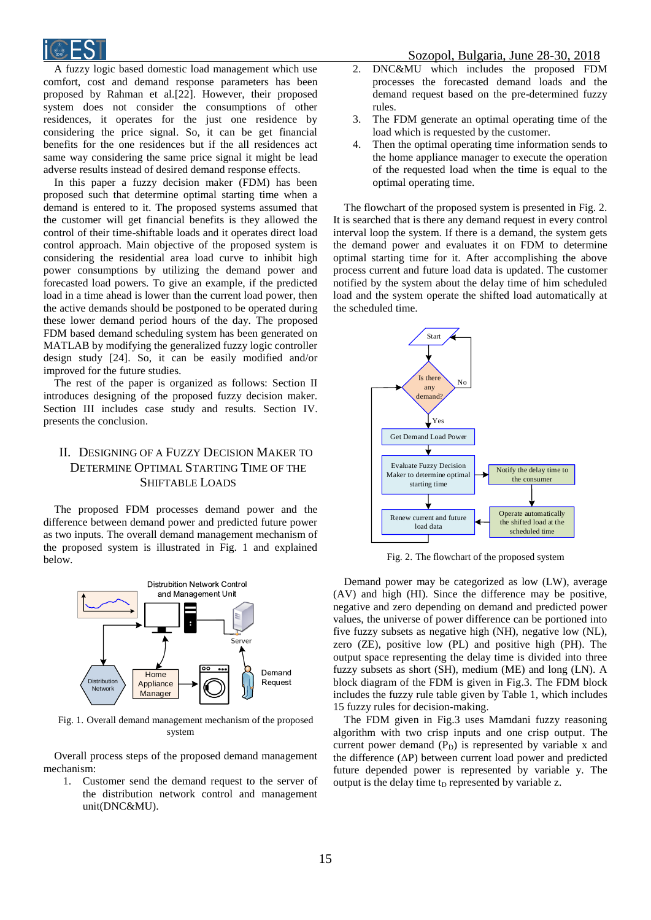

A fuzzy logic based domestic load management which use comfort, cost and demand response parameters has been proposed by Rahman et al.[22]. However, their proposed system does not consider the consumptions of other residences, it operates for the just one residence by considering the price signal. So, it can be get financial benefits for the one residences but if the all residences act same way considering the same price signal it might be lead adverse results instead of desired demand response effects.

In this paper a fuzzy decision maker (FDM) has been proposed such that determine optimal starting time when a demand is entered to it. The proposed systems assumed that the customer will get financial benefits is they allowed the control of their time-shiftable loads and it operates direct load control approach. Main objective of the proposed system is considering the residential area load curve to inhibit high power consumptions by utilizing the demand power and forecasted load powers. To give an example, if the predicted load in a time ahead is lower than the current load power, then the active demands should be postponed to be operated during these lower demand period hours of the day. The proposed FDM based demand scheduling system has been generated on MATLAB by modifying the generalized fuzzy logic controller design study [24]. So, it can be easily modified and/or improved for the future studies.

The rest of the paper is organized as follows: Section II introduces designing of the proposed fuzzy decision maker. Section III includes case study and results. Section IV. presents the conclusion.

# II. DESIGNING OF A FUZZY DECISION MAKER TO DETERMINE OPTIMAL STARTING TIME OF THE SHIFTABLE LOADS

The proposed FDM processes demand power and the difference between demand power and predicted future power as two inputs. The overall demand management mechanism of the proposed system is illustrated in Fig. 1 and explained below.



Fig. 1. Overall demand management mechanism of the proposed system

Overall process steps of the proposed demand management mechanism:

1. Customer send the demand request to the server of the distribution network control and management unit(DNC&MU).

- 2. DNC&MU which includes the proposed FDM processes the forecasted demand loads and the demand request based on the pre-determined fuzzy rules.
- 3. The FDM generate an optimal operating time of the load which is requested by the customer.
- 4. Then the optimal operating time information sends to the home appliance manager to execute the operation of the requested load when the time is equal to the optimal operating time.

The flowchart of the proposed system is presented in Fig. 2. It is searched that is there any demand request in every control interval loop the system. If there is a demand, the system gets the demand power and evaluates it on FDM to determine optimal starting time for it. After accomplishing the above process current and future load data is updated. The customer notified by the system about the delay time of him scheduled load and the system operate the shifted load automatically at the scheduled time.



Fig. 2. The flowchart of the proposed system

Demand power may be categorized as low (LW), average (AV) and high (HI). Since the difference may be positive, negative and zero depending on demand and predicted power values, the universe of power difference can be portioned into five fuzzy subsets as negative high (NH), negative low (NL), zero (ZE), positive low (PL) and positive high (PH). The output space representing the delay time is divided into three fuzzy subsets as short (SH), medium (ME) and long (LN). A block diagram of the FDM is given in Fig.3. The FDM block includes the fuzzy rule table given by Table 1, which includes 15 fuzzy rules for decision-making.

The FDM given in Fig.3 uses Mamdani fuzzy reasoning algorithm with two crisp inputs and one crisp output. The current power demand  $(P_D)$  is represented by variable x and the difference (ΔP) between current load power and predicted future depended power is represented by variable y. The output is the delay time  $t_D$  represented by variable z.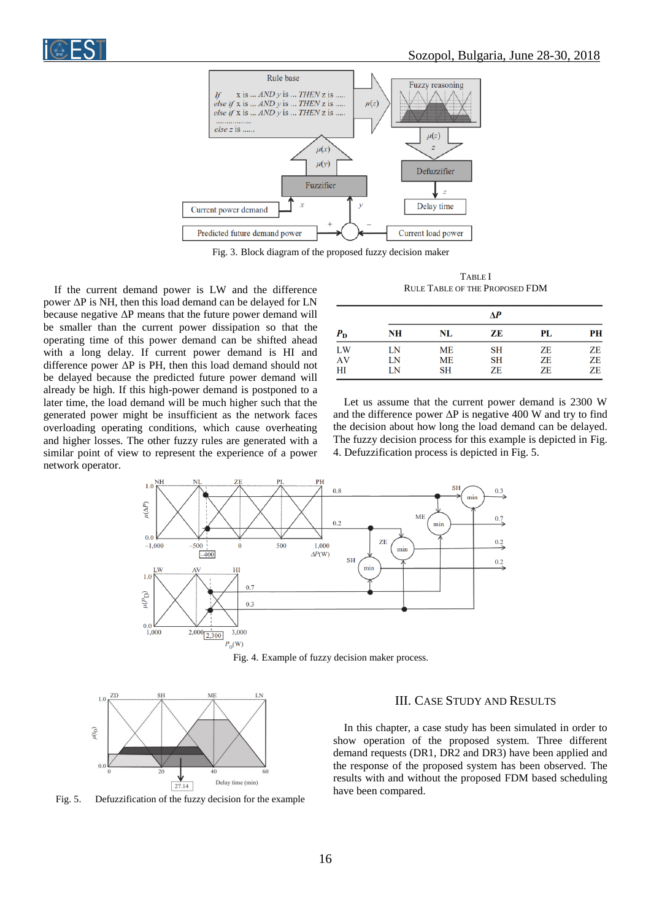

Fig. 3. Block diagram of the proposed fuzzy decision maker

If the current demand power is LW and the difference power ΔP is NH, then this load demand can be delayed for LN because negative  $\Delta P$  means that the future power demand will be smaller than the current power dissipation so that the operating time of this power demand can be shifted ahead with a long delay. If current power demand is HI and difference power ΔP is PH, then this load demand should not be delayed because the predicted future power demand will already be high. If this high-power demand is postponed to a later time, the load demand will be much higher such that the generated power might be insufficient as the network faces overloading operating conditions, which cause overheating and higher losses. The other fuzzy rules are generated with a similar point of view to represent the experience of a power network operator.

TABLE I RULE TABLE OF THE PROPOSED FDM

| $P_{\rm D}$ | ΔР       |                 |          |          |          |
|-------------|----------|-----------------|----------|----------|----------|
|             | NH       | NL              | ZE       | PL       | PН       |
| LW          | LN       | ME              | SН       | ZΕ       | ZE       |
| AV<br>HI    | LN<br>LN | ME<br><b>SH</b> | SH<br>ZE | ZE<br>ZE | ZE<br>ZE |

Let us assume that the current power demand is 2300 W and the difference power  $\Delta P$  is negative 400 W and try to find the decision about how long the load demand can be delayed. The fuzzy decision process for this example is depicted in Fig. 4. Defuzzification process is depicted in Fig. 5.



Fig. 4. Example of fuzzy decision maker process.



Fig. 5. Defuzzification of the fuzzy decision for the example

# III. CASE STUDY AND RESULTS

In this chapter, a case study has been simulated in order to show operation of the proposed system. Three different demand requests (DR1, DR2 and DR3) have been applied and the response of the proposed system has been observed. The results with and without the proposed FDM based scheduling have been compared.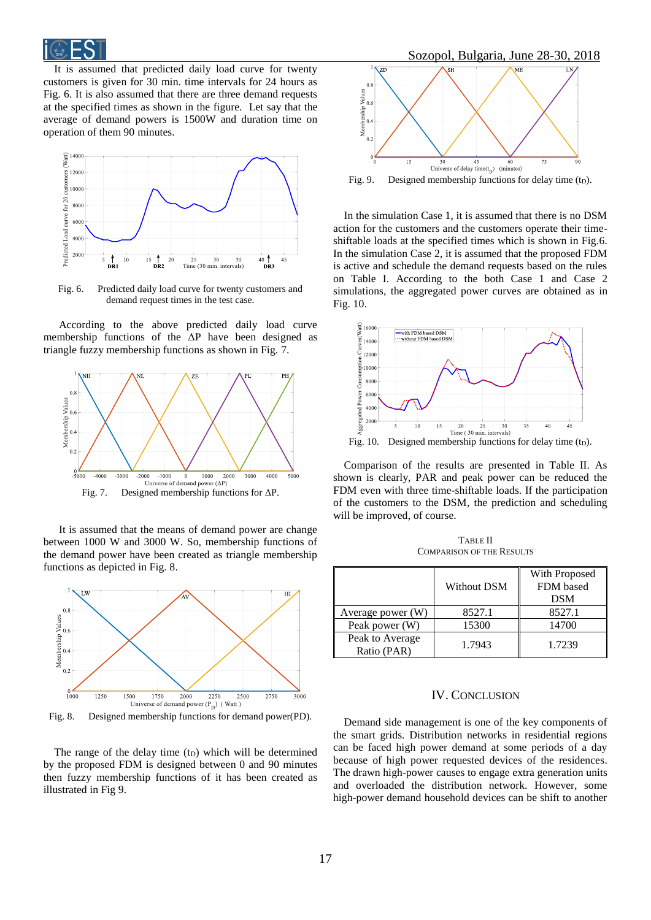

It is assumed that predicted daily load curve for twenty customers is given for 30 min. time intervals for 24 hours as Fig. 6. It is also assumed that there are three demand requests at the specified times as shown in the figure. Let say that the average of demand powers is 1500W and duration time on operation of them 90 minutes.



Fig. 6. Predicted daily load curve for twenty customers and demand request times in the test case.

According to the above predicted daily load curve membership functions of the  $\Delta P$  have been designed as triangle fuzzy membership functions as shown in Fig. 7.



It is assumed that the means of demand power are change between 1000 W and 3000 W. So, membership functions of the demand power have been created as triangle membership functions as depicted in Fig. 8.



Fig. 8. Designed membership functions for demand power(PD).

The range of the delay time  $(t_D)$  which will be determined by the proposed FDM is designed between 0 and 90 minutes then fuzzy membership functions of it has been created as illustrated in Fig 9.



Fig. 9. Designed membership functions for delay time (t<sub>D</sub>).

In the simulation Case 1, it is assumed that there is no DSM action for the customers and the customers operate their timeshiftable loads at the specified times which is shown in Fig.6. In the simulation Case 2, it is assumed that the proposed FDM is active and schedule the demand requests based on the rules on Table I. According to the both Case 1 and Case 2 simulations, the aggregated power curves are obtained as in Fig. 10.



Comparison of the results are presented in Table II. As shown is clearly, PAR and peak power can be reduced the FDM even with three time-shiftable loads. If the participation of the customers to the DSM, the prediction and scheduling will be improved, of course.

TABLE II COMPARISON OF THE RESULTS

|                                | Without DSM | With Proposed<br>FDM based<br><b>DSM</b> |
|--------------------------------|-------------|------------------------------------------|
| Average power (W)              | 8527.1      | 8527.1                                   |
| Peak power (W)                 | 15300       | 14700                                    |
| Peak to Average<br>Ratio (PAR) | 1.7943      | 1.7239                                   |

#### IV. CONCLUSION

Demand side management is one of the key components of the smart grids. Distribution networks in residential regions can be faced high power demand at some periods of a day because of high power requested devices of the residences. The drawn high-power causes to engage extra generation units and overloaded the distribution network. However, some high-power demand household devices can be shift to another